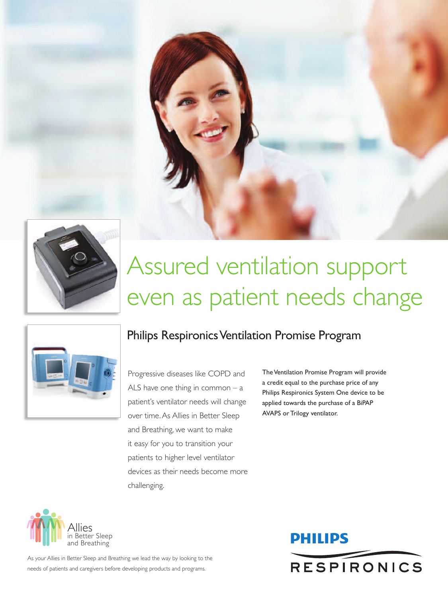



# Assured ventilation support even as patient needs change



## Philips Respironics Ventilation Promise Program

Progressive diseases like COPD and ALS have one thing in common – a patient's ventilator needs will change over time.As Allies in Better Sleep and Breathing, we want to make it easy for you to transition your patients to higher level ventilator devices as their needs become more challenging.

The Ventilation Promise Program will provide a credit equal to the purchase price of any Philips Respironics System One device to be applied towards the purchase of a BiPAP AVAPS or Trilogy ventilator.



As your Allies in Better Sleep and Breathing we lead the way by looking to the needs of patients and caregivers before developing products and programs.